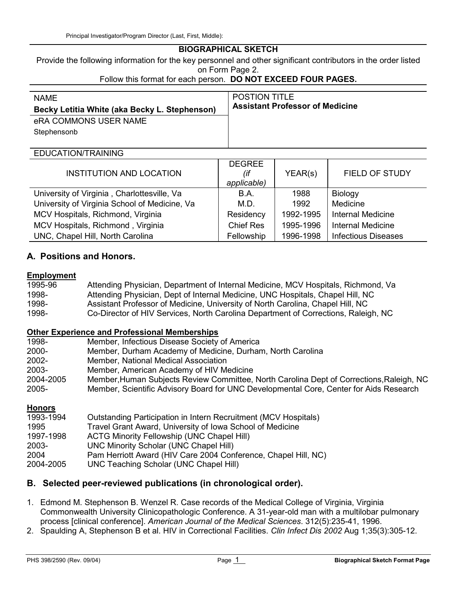# BIOGRAPHICAL SKETCH

Provide the following information for the key personnel and other significant contributors in the order listed on Form Page 2.

Follow this format for each person. DO NOT EXCEED FOUR PAGES.

| <b>NAME</b><br>Becky Letitia White (aka Becky L. Stephenson)<br>eRA COMMONS USER NAME<br>Stephensonb | <b>POSTION TITLE</b><br><b>Assistant Professor of Medicine</b> |
|------------------------------------------------------------------------------------------------------|----------------------------------------------------------------|
| EDUCATION/TRAINING                                                                                   |                                                                |

| <b>INSTITUTION AND LOCATION</b>               | <b>DEGREE</b><br>(if<br>applicable) | YEAR(s)   | FIELD OF STUDY             |
|-----------------------------------------------|-------------------------------------|-----------|----------------------------|
| University of Virginia, Charlottesville, Va   | B.A.                                | 1988      | Biology                    |
| University of Virginia School of Medicine, Va | M.D.                                | 1992      | Medicine                   |
| MCV Hospitals, Richmond, Virginia             | Residency                           | 1992-1995 | Internal Medicine          |
| MCV Hospitals, Richmond, Virginia             | <b>Chief Res</b>                    | 1995-1996 | <b>Internal Medicine</b>   |
| UNC, Chapel Hill, North Carolina              | Fellowship                          | 1996-1998 | <b>Infectious Diseases</b> |

# A. Positions and Honors.

## Employment

| 1995-96 | Attending Physician, Department of Internal Medicine, MCV Hospitals, Richmond, Va  |
|---------|------------------------------------------------------------------------------------|
| 1998-   | Attending Physician, Dept of Internal Medicine, UNC Hospitals, Chapel Hill, NC     |
| 1998-   | Assistant Professor of Medicine, University of North Carolina, Chapel Hill, NC     |
| 1998-   | Co-Director of HIV Services, North Carolina Department of Corrections, Raleigh, NC |

## Other Experience and Professional Memberships

| 1998-     | Member, Infectious Disease Society of America                                            |
|-----------|------------------------------------------------------------------------------------------|
| 2000-     | Member, Durham Academy of Medicine, Durham, North Carolina                               |
| 2002-     | Member, National Medical Association                                                     |
| 2003-     | Member, American Academy of HIV Medicine                                                 |
| 2004-2005 | Member, Human Subjects Review Committee, North Carolina Dept of Corrections, Raleigh, NC |
| 2005-     | Member, Scientific Advisory Board for UNC Developmental Core, Center for Aids Research   |

#### Honors

| 1993-1994 | Outstanding Participation in Intern Recruitment (MCV Hospitals) |
|-----------|-----------------------------------------------------------------|
| 1995      | Travel Grant Award, University of Iowa School of Medicine       |
| 1997-1998 | <b>ACTG Minority Fellowship (UNC Chapel Hill)</b>               |
| 2003-     | UNC Minority Scholar (UNC Chapel Hill)                          |
| 2004      | Pam Herriott Award (HIV Care 2004 Conference, Chapel Hill, NC)  |
| 2004-2005 | UNC Teaching Scholar (UNC Chapel Hill)                          |

# B. Selected peer-reviewed publications (in chronological order).

- 1. Edmond M. Stephenson B. Wenzel R. Case records of the Medical College of Virginia, Virginia Commonwealth University Clinicopathologic Conference. A 31-year-old man with a multilobar pulmonary process [clinical conference]. American Journal of the Medical Sciences. 312(5):235-41, 1996.
- 2. Spaulding A, Stephenson B et al. HIV in Correctional Facilities. Clin Infect Dis 2002 Aug 1;35(3):305-12.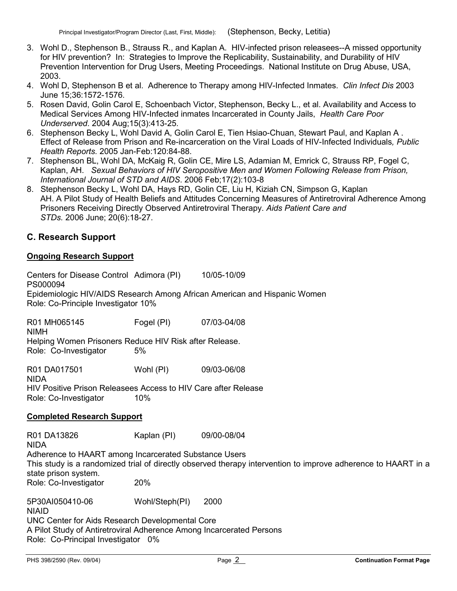- 3. Wohl D., Stephenson B., Strauss R., and Kaplan A. HIV-infected prison releasees--A missed opportunity for HIV prevention? In: Strategies to Improve the Replicability, Sustainability, and Durability of HIV Prevention Intervention for Drug Users, Meeting Proceedings. National Institute on Drug Abuse, USA, 2003.
- 4. Wohl D, Stephenson B et al. Adherence to Therapy among HIV-Infected Inmates. Clin Infect Dis 2003 June 15;36:1572-1576.
- 5. Rosen David, Golin Carol E, Schoenbach Victor, Stephenson, Becky L., et al. Availability and Access to Medical Services Among HIV-Infected inmates Incarcerated in County Jails, Health Care Poor Underserved. 2004 Aug;15(3):413-25.
- 6. Stephenson Becky L, Wohl David A, Golin Carol E, Tien Hsiao-Chuan, Stewart Paul, and Kaplan A . Effect of Release from Prison and Re-incarceration on the Viral Loads of HIV-Infected Individuals, Public Health Reports. 2005 Jan-Feb:120:84-88.
- 7. Stephenson BL, Wohl DA, McKaig R, Golin CE, Mire LS, Adamian M, Emrick C, Strauss RP, Fogel C, Kaplan, AH. Sexual Behaviors of HIV Seropositive Men and Women Following Release from Prison, International Journal of STD and AIDS. 2006 Feb;17(2):103-8
- 8. Stephenson Becky L, Wohl DA, Hays RD, Golin CE, Liu H, Kiziah CN, Simpson G, Kaplan AH. A Pilot Study of Health Beliefs and Attitudes Concerning Measures of Antiretroviral Adherence Among Prisoners Receiving Directly Observed Antiretroviral Therapy. Aids Patient Care and STDs. 2006 June; 20(6):18-27.

# C. Research Support

# Ongoing Research Support

Centers for Disease Control Adimora (PI) 10/05-10/09 PS000094 Epidemiologic HIV/AIDS Research Among African American and Hispanic Women Role: Co-Principle Investigator 10%

R01 MH065145 Fogel (PI) 07/03-04/08 NIMH Helping Women Prisoners Reduce HIV Risk after Release. Role: Co-Investigator 5%

R01 DA017501 Wohl (PI) 09/03-06/08 NIDA

HIV Positive Prison Releasees Access to HIV Care after Release Role: Co-Investigator 10%

## Completed Research Support

R01 DA13826 Kaplan (PI) 09/00-08/04 NIDA

Adherence to HAART among Incarcerated Substance Users This study is a randomized trial of directly observed therapy intervention to improve adherence to HAART in a state prison system.

Role: Co-Investigator 20%

5P30AI050410-06 Wohl/Steph(PI) 2000 NIAID UNC Center for Aids Research Developmental Core A Pilot Study of Antiretroviral Adherence Among Incarcerated Persons Role: Co-Principal Investigator 0%